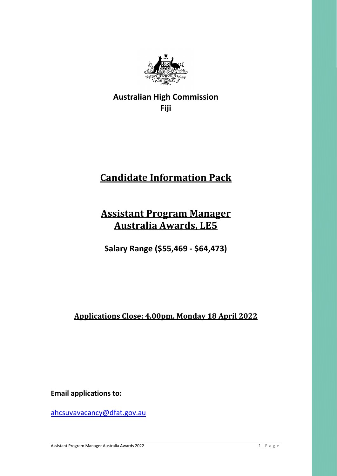

**Australian High Commission Fiji** 

# **Candidate Information Pack**

## **Assistant Program Manager Australia Awards, LE5**

**Salary Range (\$55,469 - \$64,473)**

**Applications Close: 4.00pm, Monday 18 April 2022**

**Email applications to:** 

[ahcsuvavacancy@dfat.gov.au](mailto:ahcsuvavacancy@dfat.gov.au)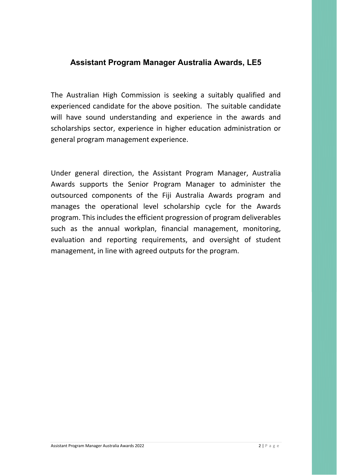#### **Assistant Program Manager Australia Awards, LE5**

The Australian High Commission is seeking a suitably qualified and experienced candidate for the above position. The suitable candidate will have sound understanding and experience in the awards and scholarships sector, experience in higher education administration or general program management experience.

Under general direction, the Assistant Program Manager, Australia Awards supports the Senior Program Manager to administer the outsourced components of the Fiji Australia Awards program and manages the operational level scholarship cycle for the Awards program. This includes the efficient progression of program deliverables such as the annual workplan, financial management, monitoring, evaluation and reporting requirements, and oversight of student management, in line with agreed outputs for the program.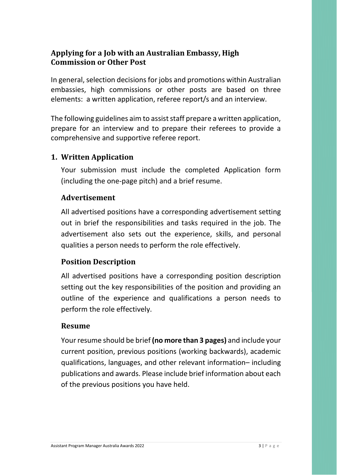## **Applying for a Job with an Australian Embassy, High Commission or Other Post**

In general, selection decisions for jobs and promotions within Australian embassies, high commissions or other posts are based on three elements: a written application, referee report/s and an interview.

The following guidelines aim to assist staff prepare a written application, prepare for an interview and to prepare their referees to provide a comprehensive and supportive referee report.

## **1. Written Application**

Your submission must include the completed Application form (including the one-page pitch) and a brief resume.

## **Advertisement**

All advertised positions have a corresponding advertisement setting out in brief the responsibilities and tasks required in the job. The advertisement also sets out the experience, skills, and personal qualities a person needs to perform the role effectively.

## **Position Description**

All advertised positions have a corresponding position description setting out the key responsibilities of the position and providing an outline of the experience and qualifications a person needs to perform the role effectively.

## **Resume**

Your resume should be brief **(no more than 3 pages)** and include your current position, previous positions (working backwards), academic qualifications, languages, and other relevant information– including publications and awards. Please include brief information about each of the previous positions you have held.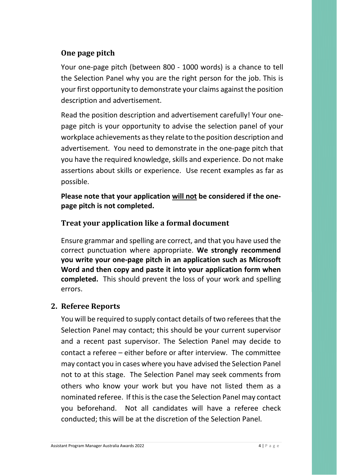## **One page pitch**

Your one-page pitch (between 800 - 1000 words) is a chance to tell the Selection Panel why you are the right person for the job. This is your first opportunity to demonstrate your claims against the position description and advertisement.

Read the position description and advertisement carefully! Your onepage pitch is your opportunity to advise the selection panel of your workplace achievements as they relate to the position description and advertisement. You need to demonstrate in the one-page pitch that you have the required knowledge, skills and experience. Do not make assertions about skills or experience. Use recent examples as far as possible.

**Please note that your application will not be considered if the onepage pitch is not completed.**

## **Treat your application like a formal document**

Ensure grammar and spelling are correct, and that you have used the correct punctuation where appropriate. **We strongly recommend you write your one-page pitch in an application such as Microsoft Word and then copy and paste it into your application form when completed.** This should prevent the loss of your work and spelling errors.

#### **2. Referee Reports**

You will be required to supply contact details of two referees that the Selection Panel may contact; this should be your current supervisor and a recent past supervisor. The Selection Panel may decide to contact a referee – either before or after interview. The committee may contact you in cases where you have advised the Selection Panel not to at this stage. The Selection Panel may seek comments from others who know your work but you have not listed them as a nominated referee. If this is the case the Selection Panel may contact you beforehand. Not all candidates will have a referee check conducted; this will be at the discretion of the Selection Panel.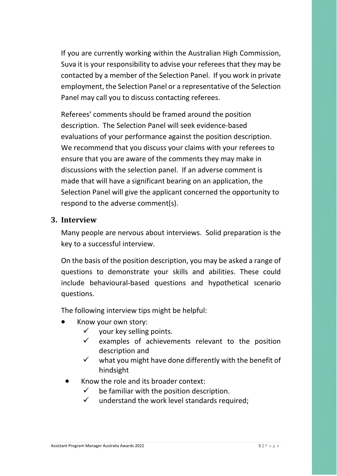If you are currently working within the Australian High Commission, Suva it is your responsibility to advise your referees that they may be contacted by a member of the Selection Panel. If you work in private employment, the Selection Panel or a representative of the Selection Panel may call you to discuss contacting referees.

Referees' comments should be framed around the position description. The Selection Panel will seek evidence-based evaluations of your performance against the position description. We recommend that you discuss your claims with your referees to ensure that you are aware of the comments they may make in discussions with the selection panel. If an adverse comment is made that will have a significant bearing on an application, the Selection Panel will give the applicant concerned the opportunity to respond to the adverse comment(s).

#### **3. Interview**

Many people are nervous about interviews. Solid preparation is the key to a successful interview.

On the basis of the position description, you may be asked a range of questions to demonstrate your skills and abilities. These could include behavioural-based questions and hypothetical scenario questions.

The following interview tips might be helpful:

- Know your own story:
	- $\checkmark$  vour key selling points.
	- $\checkmark$  examples of achievements relevant to the position description and
	- $\checkmark$  what you might have done differently with the benefit of hindsight
- Know the role and its broader context:
	- $\checkmark$  be familiar with the position description.
	- $\checkmark$  understand the work level standards required;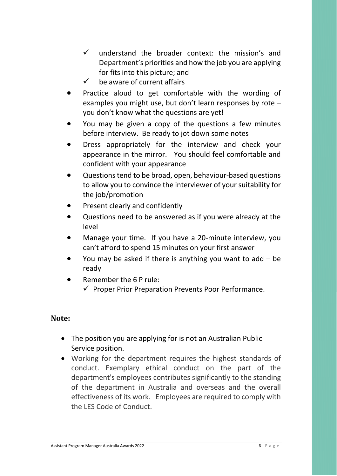- $\checkmark$  understand the broader context: the mission's and Department's priorities and how the job you are applying for fits into this picture; and
- $\checkmark$  be aware of current affairs
- Practice aloud to get comfortable with the wording of examples you might use, but don't learn responses by rote – you don't know what the questions are yet!
- You may be given a copy of the questions a few minutes before interview. Be ready to jot down some notes
- Dress appropriately for the interview and check your appearance in the mirror. You should feel comfortable and confident with your appearance
- Questions tend to be broad, open, behaviour-based questions to allow you to convince the interviewer of your suitability for the job/promotion
- Present clearly and confidently
- Questions need to be answered as if you were already at the level
- Manage your time. If you have a 20-minute interview, you can't afford to spend 15 minutes on your first answer
- You may be asked if there is anything you want to add  $-$  be ready
- Remember the 6 P rule:  $\checkmark$  Proper Prior Preparation Prevents Poor Performance.

#### **Note:**

- The position you are applying for is not an Australian Public Service position.
- Working for the department requires the highest standards of conduct. Exemplary ethical conduct on the part of the department's employees contributes significantly to the standing of the department in Australia and overseas and the overall effectiveness of its work. Employees are required to comply with the LES Code of Conduct.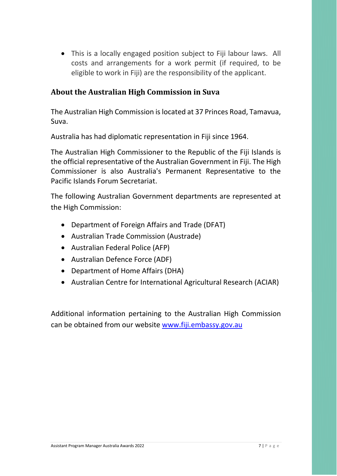• This is a locally engaged position subject to Fiji labour laws. All costs and arrangements for a work permit (if required, to be eligible to work in Fiji) are the responsibility of the applicant.

## **About the Australian High Commission in Suva**

The Australian High Commission is located at 37 Princes Road, Tamavua, Suva.

Australia has had diplomatic representation in Fiji since 1964.

The Australian High Commissioner to the Republic of the Fiji Islands is the official representative of the Australian Government in Fiji. The High Commissioner is also Australia's Permanent Representative to the Pacific Islands Forum Secretariat.

The following Australian Government departments are represented at the High Commission:

- [Department of Foreign Affairs and Trade \(DFAT\)](http://dfat.gov.au/pages/default.aspx)
- [Australian Trade Commission \(Austrade\)](http://www.austrade.gov.au/)
- [Australian Federal Police \(AFP\)](http://www.afp.gov.au/)
- [Australian](http://www.defence.gov.au/) Defence Force (ADF)
- [Department of Home Affairs](http://www.border.gov.au/) (DHA)
- Australian Centre for International Agricultural Research (ACIAR)

Additional information pertaining to the Australian High Commission can be obtained from our website [www.fiji.embassy.gov.au](http://www.fiji.embassy.gov.au/)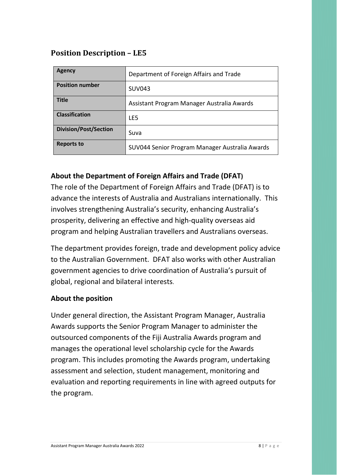## **Position Description – LE5**

| <b>Agency</b>                | Department of Foreign Affairs and Trade        |
|------------------------------|------------------------------------------------|
| <b>Position number</b>       | <b>SUV043</b>                                  |
| <b>Title</b>                 | Assistant Program Manager Australia Awards     |
| <b>Classification</b>        | LE5                                            |
| <b>Division/Post/Section</b> | Suva                                           |
| <b>Reports to</b>            | SUV044 Senior Program Manager Australia Awards |

## **About the Department of Foreign Affairs and Trade (DFAT)**

The role of the Department of Foreign Affairs and Trade (DFAT) is to advance the interests of Australia and Australians internationally. This involves strengthening Australia's security, enhancing Australia's prosperity, delivering an effective and high-quality overseas aid program and helping Australian travellers and Australians overseas.

The department provides foreign, trade and development policy advice to the Australian Government. DFAT also works with other Australian government agencies to drive coordination of Australia's pursuit of global, regional and bilateral interests.

#### **About the position**

Under general direction, the Assistant Program Manager, Australia Awards supports the Senior Program Manager to administer the outsourced components of the Fiji Australia Awards program and manages the operational level scholarship cycle for the Awards program. This includes promoting the Awards program, undertaking assessment and selection, student management, monitoring and evaluation and reporting requirements in line with agreed outputs for the program.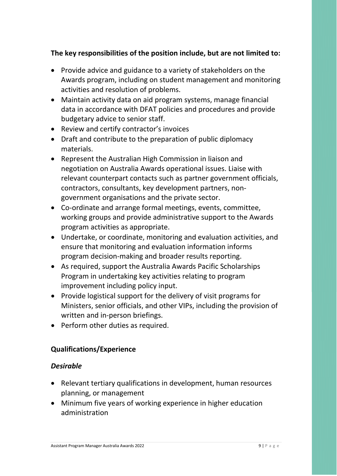#### **The key responsibilities of the position include, but are not limited to:**

- Provide advice and guidance to a variety of stakeholders on the Awards program, including on student management and monitoring activities and resolution of problems.
- Maintain activity data on aid program systems, manage financial data in accordance with DFAT policies and procedures and provide budgetary advice to senior staff.
- Review and certify contractor's invoices
- Draft and contribute to the preparation of public diplomacy materials.
- Represent the Australian High Commission in liaison and negotiation on Australia Awards operational issues. Liaise with relevant counterpart contacts such as partner government officials, contractors, consultants, key development partners, nongovernment organisations and the private sector.
- Co-ordinate and arrange formal meetings, events, committee, working groups and provide administrative support to the Awards program activities as appropriate.
- Undertake, or coordinate, monitoring and evaluation activities, and ensure that monitoring and evaluation information informs program decision-making and broader results reporting.
- As required, support the Australia Awards Pacific Scholarships Program in undertaking key activities relating to program improvement including policy input.
- Provide logistical support for the delivery of visit programs for Ministers, senior officials, and other VIPs, including the provision of written and in-person briefings.
- Perform other duties as required.

#### **Qualifications/Experience**

#### *Desirable*

- Relevant tertiary qualifications in development, human resources planning, or management
- Minimum five years of working experience in higher education administration